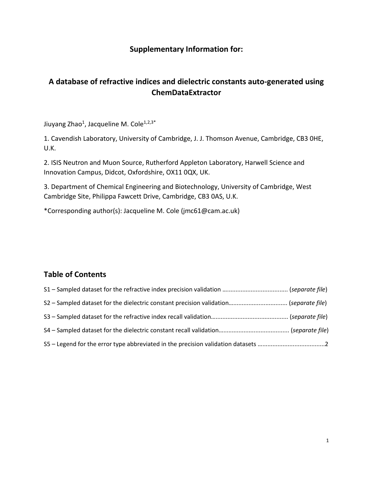## **Supplementary Information for:**

## **A database of refractive indices and dielectric constants auto-generated using ChemDataExtractor**

Jiuyang Zhao<sup>1</sup>, Jacqueline M. Cole<sup>1,2,3\*</sup>

1. Cavendish Laboratory, University of Cambridge, J. J. Thomson Avenue, Cambridge, CB3 0HE, U.K.

2. ISIS Neutron and Muon Source, Rutherford Appleton Laboratory, Harwell Science and Innovation Campus, Didcot, Oxfordshire, OX11 0QX, UK.

3. Department of Chemical Engineering and Biotechnology, University of Cambridge, West Cambridge Site, Philippa Fawcett Drive, Cambridge, CB3 0AS, U.K.

\*Corresponding author(s): Jacqueline M. Cole (jmc61@cam.ac.uk)

## **Table of Contents**